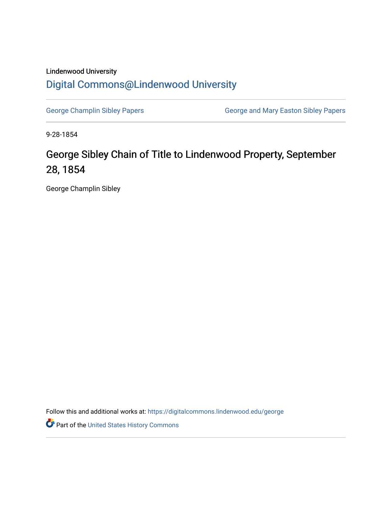## Lindenwood University [Digital Commons@Lindenwood University](https://digitalcommons.lindenwood.edu/)

[George Champlin Sibley Papers](https://digitalcommons.lindenwood.edu/george) **George and Mary Easton Sibley Papers** George and Mary Easton Sibley Papers

9-28-1854

## George Sibley Chain of Title to Lindenwood Property, September 28, 1854

George Champlin Sibley

Follow this and additional works at: [https://digitalcommons.lindenwood.edu/george](https://digitalcommons.lindenwood.edu/george?utm_source=digitalcommons.lindenwood.edu%2Fgeorge%2F252&utm_medium=PDF&utm_campaign=PDFCoverPages)

Part of the [United States History Commons](http://network.bepress.com/hgg/discipline/495?utm_source=digitalcommons.lindenwood.edu%2Fgeorge%2F252&utm_medium=PDF&utm_campaign=PDFCoverPages)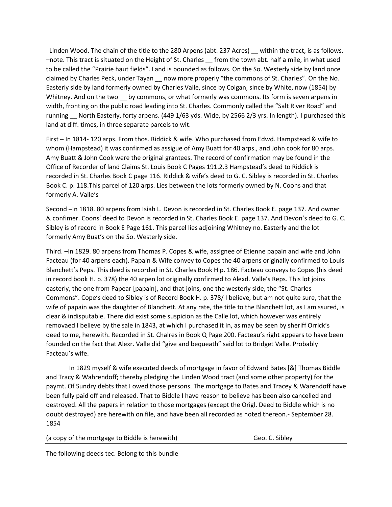Linden Wood. The chain of the title to the 280 Arpens (abt. 237 Acres) \_\_ within the tract, is as follows. –note. This tract is situated on the Height of St. Charles \_\_ from the town abt. half a mile, in what used to be called the "Prairie haut fields". Land is bounded as follows. On the So. Westerly side by land once claimed by Charles Peck, under Tayan \_\_ now more properly "the commons of St. Charles". On the No. Easterly side by land formerly owned by Charles Valle, since by Colgan, since by White, now (1854) by Whitney. And on the two by commons, or what formerly was commons. Its form is seven arpens in width, fronting on the public road leading into St. Charles. Commonly called the "Salt River Road" and running \_\_ North Easterly, forty arpens. (449 1/63 yds. Wide, by 2566 2/3 yrs. In length). I purchased this land at diff. times, in three separate parcels to wit.

First – In 1814- 120 arps. From thos. Riddick & wife. Who purchased from Edwd. Hampstead & wife to whom (Hampstead) it was confirmed as assigue of Amy Buatt for 40 arps., and John cook for 80 arps. Amy Buatt & John Cook were the original grantees. The record of confirmation may be found in the Office of Recorder of land Claims St. Louis Book C Pages 191.2.3 Hampstead's deed to Riddick is recorded in St. Charles Book C page 116. Riddick & wife's deed to G. C. Sibley is recorded in St. Charles Book C. p. 118.This parcel of 120 arps. Lies between the lots formerly owned by N. Coons and that formerly A. Valle's

Second –In 1818. 80 arpens from Isiah L. Devon is recorded in St. Charles Book E. page 137. And owner & confimer. Coons' deed to Devon is recorded in St. Charles Book E. page 137. And Devon's deed to G. C. Sibley is of record in Book E Page 161. This parcel lies adjoining Whitney no. Easterly and the lot formerly Amy Buat's on the So. Westerly side.

Third. –In 1829. 80 arpens from Thomas P. Copes & wife, assignee of Etienne papain and wife and John Facteau (for 40 arpens each). Papain & Wife convey to Copes the 40 arpens originally confirmed to Louis Blanchett's Peps. This deed is recorded in St. Charles Book H p. 186. Facteau conveys to Copes (his deed in record book H. p. 378) the 40 arpen lot originally confirmed to Alexd. Valle's Reps. This lot joins easterly, the one from Papear [papain], and that joins, one the westerly side, the "St. Charles Commons". Cope's deed to Sibley is of Record Book H. p. 378/ I believe, but am not quite sure, that the wife of papain was the daughter of Blanchett. At any rate, the title to the Blanchett lot, as I am ssured, is clear & indisputable. There did exist some suspicion as the Calle lot, which however was entirely removaed I believe by the sale in 1843, at which I purchased it in, as may be seen by sheriff Orrick's deed to me, herewith. Recorded in St. Chalres in Book Q Page 200. Facteau's right appears to have been founded on the fact that Alexr. Valle did "give and bequeath" said lot to Bridget Valle. Probably Facteau's wife.

In 1829 myself & wife executed deeds of mortgage in favor of Edward Bates [&] Thomas Biddle and Tracy & Wahrendoff; thereby pledging the Linden Wood tract (and some other property) for the paymt. Of Sundry debts that I owed those persons. The mortgage to Bates and Tracey & Warendoff have been fully paid off and released. That to Biddle I have reason to believe has been also cancelled and destroyed. All the papers in relation to those mortgages (except the Origl. Deed to Biddle which is no doubt destroyed) are herewith on file, and have been all recorded as noted thereon.- September 28. 1854

| (a copy of the mortgage to Biddle is herewith) | Geo. C. Sibley |
|------------------------------------------------|----------------|
|------------------------------------------------|----------------|

The following deeds tec. Belong to this bundle